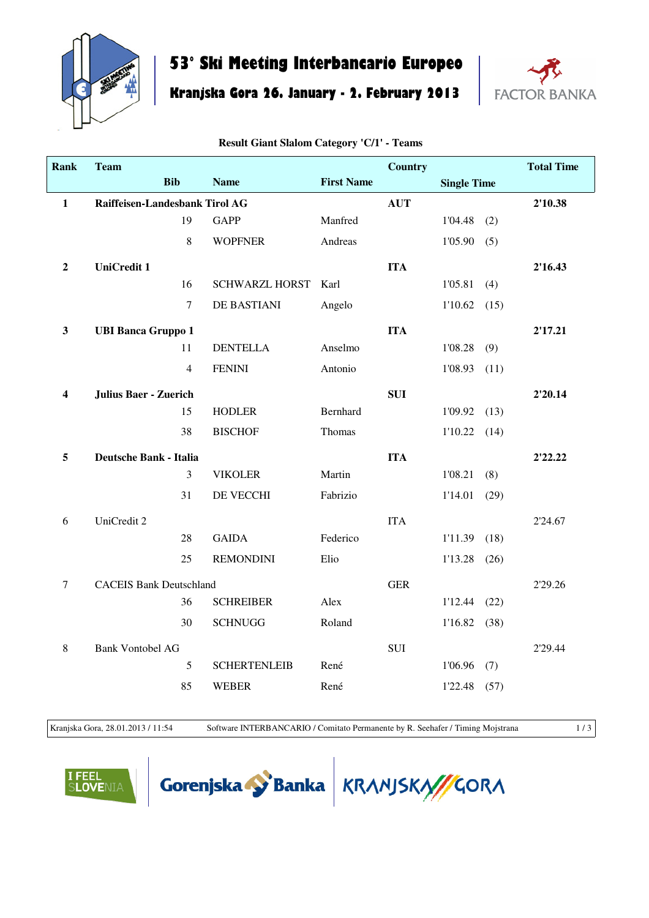

## **53° Ski Meeting Interbancario Europeo**

**Kranjska Gora 26. January - 2. February 2013**



| <b>Rank</b>             | <b>Team</b>                    |                  |                       |                   | <b>Country</b> |                    |      | <b>Total Time</b> |
|-------------------------|--------------------------------|------------------|-----------------------|-------------------|----------------|--------------------|------|-------------------|
|                         |                                | <b>Bib</b>       | <b>Name</b>           | <b>First Name</b> |                | <b>Single Time</b> |      |                   |
| $\mathbf{1}$            | Raiffeisen-Landesbank Tirol AG |                  |                       |                   | <b>AUT</b>     |                    |      | 2'10.38           |
|                         |                                | 19               | <b>GAPP</b>           | Manfred           |                | 1'04.48            | (2)  |                   |
|                         |                                | 8                | <b>WOPFNER</b>        | Andreas           |                | 1'05.90            | (5)  |                   |
| $\boldsymbol{2}$        | <b>UniCredit 1</b>             |                  |                       |                   | <b>ITA</b>     |                    |      | 2'16.43           |
|                         |                                | 16               | <b>SCHWARZL HORST</b> | Karl              |                | 1'05.81            | (4)  |                   |
|                         |                                | $\boldsymbol{7}$ | DE BASTIANI           | Angelo            |                | 1'10.62            | (15) |                   |
| $\mathbf{3}$            | <b>UBI Banca Gruppo 1</b>      |                  |                       |                   | <b>ITA</b>     |                    |      | 2'17.21           |
|                         |                                | 11               | <b>DENTELLA</b>       | Anselmo           |                | 1'08.28            | (9)  |                   |
|                         |                                | $\overline{4}$   | <b>FENINI</b>         | Antonio           |                | 1'08.93            | (11) |                   |
| $\overline{\mathbf{4}}$ | <b>Julius Baer - Zuerich</b>   |                  |                       |                   | <b>SUI</b>     |                    |      | 2'20.14           |
|                         |                                | 15               | <b>HODLER</b>         | Bernhard          |                | 1'09.92            | (13) |                   |
|                         |                                | 38               | <b>BISCHOF</b>        | Thomas            |                | 1'10.22            | (14) |                   |
| 5                       | <b>Deutsche Bank - Italia</b>  |                  |                       |                   | <b>ITA</b>     |                    |      | 2'22.22           |
|                         |                                | 3                | <b>VIKOLER</b>        | Martin            |                | 1'08.21            | (8)  |                   |
|                         |                                | 31               | DE VECCHI             | Fabrizio          |                | 1'14.01            | (29) |                   |
| 6                       | UniCredit 2                    |                  |                       |                   | <b>ITA</b>     |                    |      | 2'24.67           |
|                         |                                | 28               | <b>GAIDA</b>          | Federico          |                | 1'11.39            | (18) |                   |
|                         |                                | 25               | <b>REMONDINI</b>      | Elio              |                | 1'13.28            | (26) |                   |
| $\tau$                  | <b>CACEIS Bank Deutschland</b> |                  |                       |                   | <b>GER</b>     |                    |      | 2'29.26           |
|                         |                                | 36               | <b>SCHREIBER</b>      | Alex              |                | 1'12.44            | (22) |                   |
|                         |                                | 30               | <b>SCHNUGG</b>        | Roland            |                | 1'16.82            | (38) |                   |
| $\,8\,$                 | <b>Bank Vontobel AG</b>        |                  |                       |                   | SUI            |                    |      | 2'29.44           |
|                         |                                | 5                | <b>SCHERTENLEIB</b>   | René              |                | 1'06.96            | (7)  |                   |
|                         |                                | 85               | <b>WEBER</b>          | René              |                | 1'22.48            | (57) |                   |

**Result Giant Slalom Category 'C/1' - Teams**

Kranjska Gora, 28.01.2013 / 11:54 Software INTERBANCARIO / Comitato Permanente by R. Seehafer / Timing Mojstrana 1/3

**OVENIA** 



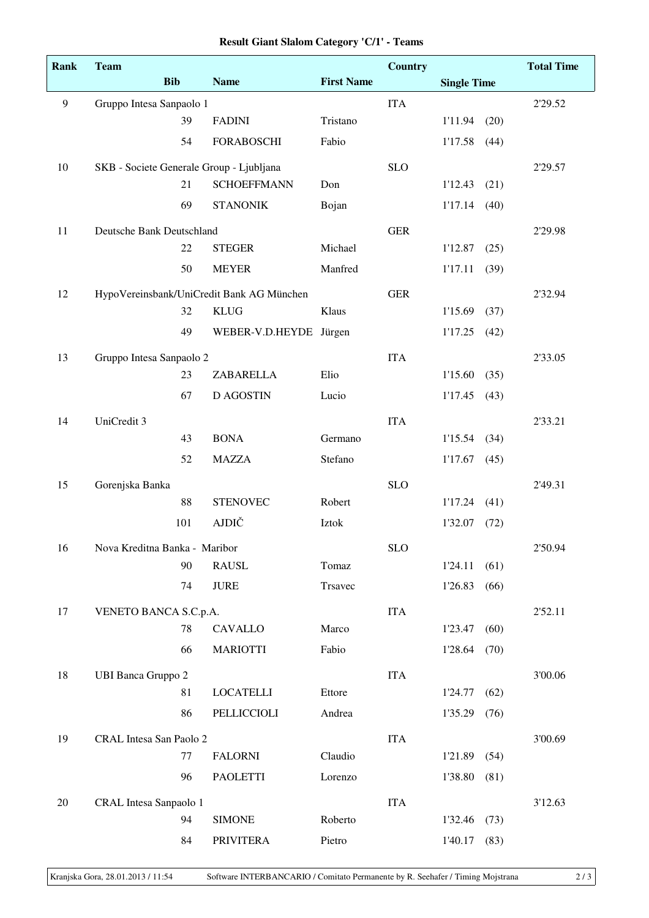| <b>Rank</b>    | <b>Team</b>                               |            |                                          |                   | <b>Country</b> |                    |      | <b>Total Time</b> |
|----------------|-------------------------------------------|------------|------------------------------------------|-------------------|----------------|--------------------|------|-------------------|
|                |                                           | <b>Bib</b> | <b>Name</b>                              | <b>First Name</b> |                | <b>Single Time</b> |      |                   |
| $\overline{9}$ | Gruppo Intesa Sanpaolo 1                  |            |                                          |                   | <b>ITA</b>     |                    |      | 2'29.52           |
|                |                                           | 39         | <b>FADINI</b>                            | Tristano          |                | 1'11.94            | (20) |                   |
|                |                                           | 54         | <b>FORABOSCHI</b>                        | Fabio             |                | 1'17.58            | (44) |                   |
| 10             |                                           |            | SKB - Societe Generale Group - Ljubljana |                   | <b>SLO</b>     |                    |      | 2'29.57           |
|                |                                           | 21         | <b>SCHOEFFMANN</b>                       | Don               |                | 1'12.43            | (21) |                   |
|                |                                           | 69         | <b>STANONIK</b>                          | Bojan             |                | 1'17.14            | (40) |                   |
| 11             | Deutsche Bank Deutschland                 |            |                                          |                   | <b>GER</b>     |                    |      | 2'29.98           |
|                |                                           | 22         | <b>STEGER</b>                            | Michael           |                | 1'12.87            | (25) |                   |
|                |                                           | 50         | <b>MEYER</b>                             | Manfred           |                | 1'17.11            | (39) |                   |
| 12             | HypoVereinsbank/UniCredit Bank AG München |            |                                          |                   | <b>GER</b>     |                    |      | 2'32.94           |
|                |                                           | 32         | <b>KLUG</b>                              | Klaus             |                | 1'15.69            | (37) |                   |
|                |                                           | 49         | WEBER-V.D.HEYDE Jürgen                   |                   |                | 1'17.25            | (42) |                   |
| 13             | Gruppo Intesa Sanpaolo 2                  |            |                                          |                   | <b>ITA</b>     |                    |      | 2'33.05           |
|                |                                           | 23         | ZABARELLA                                | Elio              |                | 1'15.60            | (35) |                   |
|                |                                           | 67         | <b>D AGOSTIN</b>                         | Lucio             |                | 1'17.45            | (43) |                   |
| 14             | UniCredit 3                               |            |                                          |                   | <b>ITA</b>     |                    |      | 2'33.21           |
|                |                                           | 43         | <b>BONA</b>                              | Germano           |                | 1'15.54            | (34) |                   |
|                |                                           | 52         | <b>MAZZA</b>                             | Stefano           |                | 1'17.67            | (45) |                   |
| 15             | Gorenjska Banka                           |            |                                          |                   | <b>SLO</b>     |                    |      | 2'49.31           |
|                |                                           | 88         | <b>STENOVEC</b>                          | Robert            |                | 1'17.24            | (41) |                   |
|                |                                           | 101        | <b>AJDIČ</b>                             | Iztok             |                | 1'32.07            | (72) |                   |
| 16             | Nova Kreditna Banka - Maribor             |            |                                          |                   | <b>SLO</b>     |                    |      | 2'50.94           |
|                |                                           | 90         | <b>RAUSL</b>                             | Tomaz             |                | 1'24.11            | (61) |                   |
|                |                                           | 74         | <b>JURE</b>                              | Trsavec           |                | 1'26.83            | (66) |                   |
| 17             | VENETO BANCA S.C.p.A.                     |            |                                          |                   | <b>ITA</b>     |                    |      | 2'52.11           |
|                |                                           | 78         | <b>CAVALLO</b>                           | Marco             |                | 1'23.47            | (60) |                   |
|                |                                           | 66         | <b>MARIOTTI</b>                          | Fabio             |                | 1'28.64            | (70) |                   |
| 18             | <b>UBI Banca Gruppo 2</b>                 |            |                                          |                   | <b>ITA</b>     |                    |      | 3'00.06           |
|                |                                           | 81         | <b>LOCATELLI</b>                         | Ettore            |                | 1'24.77            | (62) |                   |
|                |                                           | 86         | PELLICCIOLI                              | Andrea            |                | 1'35.29            | (76) |                   |
| 19             | CRAL Intesa San Paolo 2                   |            |                                          |                   | <b>ITA</b>     |                    |      | 3'00.69           |
|                |                                           | 77         | <b>FALORNI</b>                           | Claudio           |                | 1'21.89            | (54) |                   |
|                |                                           | 96         | <b>PAOLETTI</b>                          | Lorenzo           |                | 1'38.80            | (81) |                   |
| 20             | CRAL Intesa Sanpaolo 1                    |            |                                          |                   | <b>ITA</b>     |                    |      | 3'12.63           |
|                |                                           | 94         | <b>SIMONE</b>                            | Roberto           |                | 1'32.46            | (73) |                   |
|                |                                           | 84         | <b>PRIVITERA</b>                         | Pietro            |                | 1'40.17            | (83) |                   |

## **Result Giant Slalom Category 'C/1' - Teams**